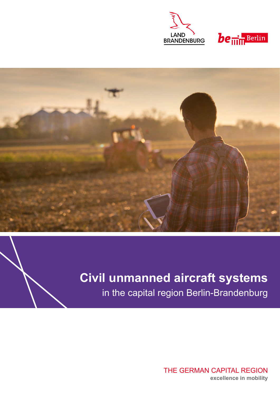





# **Civil unmanned aircraft systems**

in the capital region Berlin-Brandenburg

THE GERMAN CAPITAL REGION **excellence in mobility**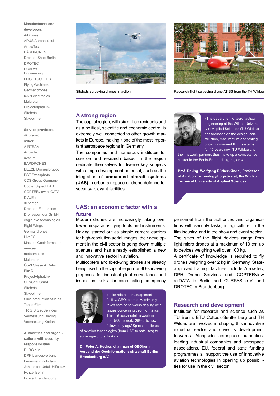#### **Manufacturers and**

**developers** AiDrones APUS Aeronautical ArrowTec **BÄRDRONES** DrohnenShop Berlin DROTEC ECARYS Engineering FLIGHTCOPTER FlyingMachines Germandrones KAPI electronics Multirotor ProjectAlphaLink **Sitebots** Skypoint-e

#### **Service providers**

4k.branko adKor AIRTEAM ArrowTec avatum BÄRDRONES BEE2B Dronesforgood BSF Swissphoto CDS Group Germany Copter Squad UAS COPTERview airDATA DiAvEn div-gmbh Drohnen-Finder.com Dronesperhour GmbH eagle eye technologies Eight Wings Germandrones LiveEO Masuch Geoinformation meetaa meteomatics Multirotor ÖbVI Strese & Rehs Pix4D ProjectAlphaLink SENSYS GmbH **Sitebots** Skypoint-e Slice production studios **TeaserFilm** TRIGIS GeoServices Vermessung Diering Vermessung Kaden

**Authorities and organisations with security responsibilities** DLRG e.V. DRK Landesverband Feuerwehr Potsdam Johanniter-Unfall-Hilfe e.V. Polizei Berlin Polizei Brandenburg





Sitebots surveying drones in action **Research-flight surveying drone ATISS** from the TH Wildau

## **A strong region**

The capital region, with six million residents and as a political, scientific and economic centre, is extremely well connected to other growth markets in Europe, making it one of the most important aerospace regions in Germany.

The companies and numerous institutes for science and research based in the region dedicate themselves to diverse key subjects with a high development potential, such as the integration of **unmanned aircraft systems (UAS)** in urban air space or drone defence for security-relevant facilities.

## **UAS: an economic factor with a future**

Modern drones are increasingly taking over lower airspace as flying tools and instruments. Having started out as simple camera carriers for high-resolution aerial images, their development in the civil sector is going down multiple avenues and has already established a new and innovative sector in aviation.

Multicopters and fixed-wing drones are already being used in the capital region for 3D-surveying purposes, for industrial plant surveillance and inspection tasks, for coordinating emergency



»In its role as a management facility, GEOkomm e.V. primarily takes care of networks dealing with issues concerning geoinformatics. The first successful network in the UAS network, SiBeL, is now followed by agrASpace and its use

of aviation technologies (from UAS to satellites) to solve agricultural tasks.«

**Dr. Peter A. Hecker, chairman of GEOkomm, Verband der GeoInformationswirtschaft Berlin/ Brandenburg e.V.**



»The department of aeronautical engineering at the Wildau University of Applied Sciences (TU Wildau) has focussed on the design, construction, manufacture and testing of civil unmanned flight systems for 15 years now. TU Wildau and

their network partners thus make up a competence cluster in the Berlin-Brandenburg region.«

**Prof. Dr.-Ing. Wolfgang Rüther-Kindel, Professor of Aviation Technology/Logistics at, the Wildau Technical University of Applied Sciences**

personnel from the authorities and organisations with security tasks, in agriculture, in the film industry, and in the show and event sector. The sizes of the flight devices range from light micro drones at a maximum of 10 cm up to devices weighing well over 100 kg.

A certificate of knowledge is required to fly drones weighing over 2 kg in Germany. Stateapproved training facilities include ArrowTec, DPH Drone Services and COPTERview airDATA in Berlin and CURPAS e.V. and DROTEC in Brandenburg.

## **Research and development**

Institutes for research and science such as TU Berlin, BTU Cottbus-Senftenberg and TH Wildau are involved in shaping this innovative industrial sector and drive its development forwards. Alongside aerospace authorities, leading industrial companies and aerospace associations, EU, federal and state funding programmes all support the use of innovative aviation technologies in opening up possibilities for use in the civil sector.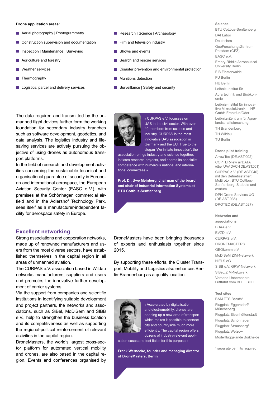### **Drone application areas:**

- **Aerial photography | Photogrammetry**
- Construction supervision and documentation
- **Inspection | Maintenance | Surveying**
- **Agriculture and forestry**
- Weather services
- **Thermography**
- Logistics, parcel and delivery services
- Research | Science | Archaeology
- $\blacksquare$  Film and television industry
- Shows and events
- Search and rescue services
- **Disaster prevention and environmental protection**
- **Munitions detection**
- Surveillance | Safety and security



In the field of research and development activities concerning the sustainable technical and organisational guarantee of security in European and international aerospace, the European Aviation Security Center (EASC e.V.), with premises at the Schönhagen commercial airfield and in the Adlershof Technology Park, sees itself as a manufacturer-independent facility for aerospace safety in Europe.

### **Excellent networking**

Strong associations and cooperation networks, made up of renowned manufacturers and users from the most diverse sectors, have established themselves in the capital region in all areas of unmanned aviation.

The CURPAS e.V. association based in Wildau networks manufacturers, suppliers and users and promotes the innovative further development of carrier systems.

Via the support from companies and scientific institutions in identifying suitable development and project partners, the networks and associations, such as SiBel, MoDiSem and SIBB e.V., help to strengthen the business location and its competitiveness as well as supporting the regional-political reinforcement of relevant activities in the capital region.

DroneMasters, the world's largest cross-sector platform for automated vertical mobility and drones, are also based in the capital region. Events and conferences organised by



»CURPAS e.V. focusses on UAS in the civil sector. With over 40 members from science and industry, CURPAS is the most innovative UAS association in Germany and the EU. True to the slogan 'We initiate innovation', the

association brings industry and science together, initiates research projects, and shares its specialist competence with numerous national and international committees.«

**Prof. Dr. Uwe Meinberg, chairman of the board and chair of Industrial Information Systems at BTU Cottbus-Senftenberg**

DroneMasters have been bringing thousands of experts and enthusiasts together since 2015.

By supporting these efforts, the Cluster Transport, Mobility and Logistics also enhances Berlin-Brandenburg as a quality location.



»Accelerated by digitalisation and electromobility, drones are opening up a new area of transport which makes it possible to connect city and countryside much more efficiently. The capital region offers dozens of industry-relevant appli-

cation cases and test fields for this purpose.«

**Frank Wernecke, founder and managing director of DroneMasters, Berlin**

**Science** BTU Cottbus-Senftenberg DAI Labor Deutsches GeoForschungsZentrum Potsdam (GFZ) EASC e.V. Embry-Riddle Aeronautical University Berlin FIB Finsterwalde FU Berlin HU Berlin Leibniz-Institut für Agrartechnik und Bioökonomie Leibniz-Institut für innovative Mikroelektronik – IHP GmbH Frankfurt/Oder Leibnitz-Zentrum für Agrarlandschaftsforschung TH Brandenburg TH Wildau TU Berlin

#### **Drone pilot training**

ArrowTec (DE.AST.002) COPTERview airDATA (über UAV DACH DE.AST.001) CURPAS e.V. (DE.AST.046) mit den Betriebsstätten: Multirotor, BTU Cottbus-Senftenberg, Sitebots und avatum DPH Drone Services UG (DE.AST.035) DROTEC (DE.AST.027)

#### **Networks and**

**associations** BBAA e.V. BVZD e.V. CURPAS e.V. DRONEMASTERS GEOkomm e.V. MoDiSeM ZIM-Netzwerk NiELS eG SIBB e.V. GRW-Netzwerk SiBeL ZIM-Netzwerk Verband Unbemannte Luftfahrt vom BDL+BDLI

#### **Test sites**

BAM TTS Baruth<sup>1</sup> Flugplatz Eggersdorf/ Müncheberg Flugplatz Eisenhüttenstadt Flugplatz Schönhagen<sup>1</sup> Flugplatz Strausberg<sup>1</sup> Flugplatz Welzow Modellfluggelände Borkheide

<sup>1</sup> separate permits required